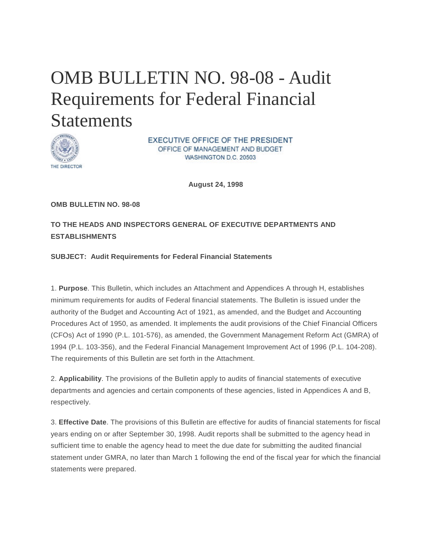# OMB BULLETIN NO. 98-08 - Audit Requirements for Federal Financial **Statements**



**EXECUTIVE OFFICE OF THE PRESIDENT** OFFICE OF MANAGEMENT AND BUDGET WASHINGTON D.C. 20503

**August 24, 1998** 

<span id="page-0-0"></span>**OMB BULLETIN NO. 98-08** 

**TO THE HEADS AND INSPECTORS GENERAL OF EXECUTIVE DEPARTMENTS AND ESTABLISHMENTS** 

#### **SUBJECT: Audit Requirements for Federal Financial Statements**

1. **Purpose**. This Bulletin, which includes an Attachment and Appendices A through H, establishes minimum requirements for audits of Federal financial statements. The Bulletin is issued under the authority of the Budget and Accounting Act of 1921, as amended, and the Budget and Accounting Procedures Act of 1950, as amended. It implements the audit provisions of the Chief Financial Officers (CFOs) Act of 1990 (P.L. 101-576), as amended, the Government Management Reform Act (GMRA) of 1994 (P.L. 103-356), and the Federal Financial Management Improvement Act of 1996 (P.L. 104-208). The requirements of this Bulletin are set forth in the Attachment.

2. **Applicability**. The provisions of the Bulletin apply to audits of financial statements of executive departments and agencies and certain components of these agencies, listed in Appendices A and B, respectively.

3. **Effective Date**. The provisions of this Bulletin are effective for audits of financial statements for fiscal years ending on or after September 30, 1998. Audit reports shall be submitted to the agency head in sufficient time to enable the agency head to meet the due date for submitting the audited financial statement under GMRA, no later than March 1 following the end of the fiscal year for which the financial statements were prepared.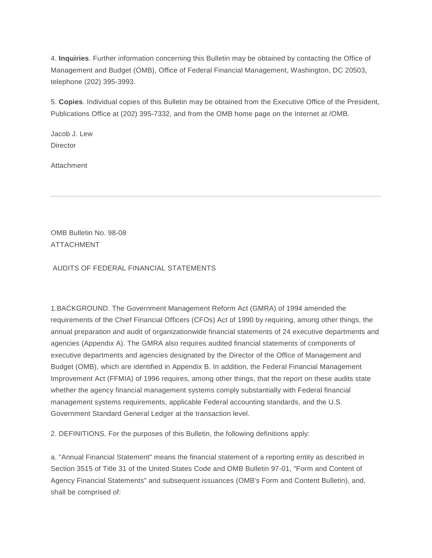4. **Inquiries**. Further information concerning this Bulletin may be obtained by contacting the Office of Management and Budget (OMB), Office of Federal Financial Management, Washington, DC 20503, telephone (202) 395-3993.

5. **Copies**. Individual copies of this Bulletin may be obtained from the Executive Office of the President, Publications Office at (202) 395-7332, and from the OMB home page on the Internet at /OMB.

Jacob J. Lew **Director** 

Attachment

OMB Bulletin No. 98-08 ATTACHMENT

AUDITS OF FEDERAL FINANCIAL STATEMENTS

1.BACKGROUND. The Government Management Reform Act (GMRA) of 1994 amended the requirements of the Chief Financial Officers (CFOs) Act of 1990 by requiring, among other things, the annual preparation and audit of organizationwide financial statements of 24 executive departments and agencies (Appendix A). The GMRA also requires audited financial statements of components of executive departments and agencies designated by the Director of the Office of Management and Budget (OMB), which are identified in Appendix B. In addition, the Federal Financial Management Improvement Act (FFMIA) of 1996 requires, among other things, that the report on these audits state whether the agency financial management systems comply substantially with Federal financial management systems requirements, applicable Federal accounting standards, and the U.S. Government Standard General Ledger at the transaction level.

2. DEFINITIONS. For the purposes of this Bulletin, the following definitions apply:

a. "Annual Financial Statement" means the financial statement of a reporting entity as described in Section 3515 of Title 31 of the United States Code and OMB Bulletin 97-01, "Form and Content of Agency Financial Statements" and subsequent issuances (OMB's Form and Content Bulletin), and, shall be comprised of: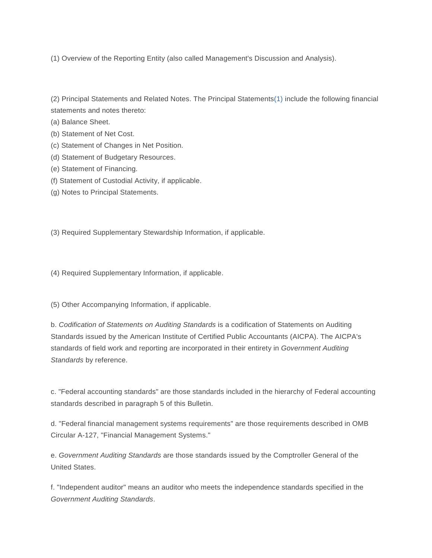(1) Overview of the Reporting Entity (also called Management's Discussion and Analysis).

(2) Principal Statements and Related Notes. The Principal Statement[s\(1\)](#page-35-0) include the following financial statements and notes thereto:

- (a) Balance Sheet.
- (b) Statement of Net Cost.
- (c) Statement of Changes in Net Position.
- (d) Statement of Budgetary Resources.
- (e) Statement of Financing.
- (f) Statement of Custodial Activity, if applicable.
- (g) Notes to Principal Statements.

(3) Required Supplementary Stewardship Information, if applicable.

(4) Required Supplementary Information, if applicable.

(5) Other Accompanying Information, if applicable.

b. *Codification of Statements on Auditing Standards* is a codification of Statements on Auditing Standards issued by the American Institute of Certified Public Accountants (AICPA). The AICPA's standards of field work and reporting are incorporated in their entirety in *Government Auditing Standards* by reference.

c. "Federal accounting standards" are those standards included in the hierarchy of Federal accounting standards described in paragraph 5 of this Bulletin.

d. "Federal financial management systems requirements" are those requirements described in OMB Circular A-127, "Financial Management Systems."

e. *Government Auditing Standards* are those standards issued by the Comptroller General of the United States.

f. "Independent auditor" means an auditor who meets the independence standards specified in the *Government Auditing Standards*.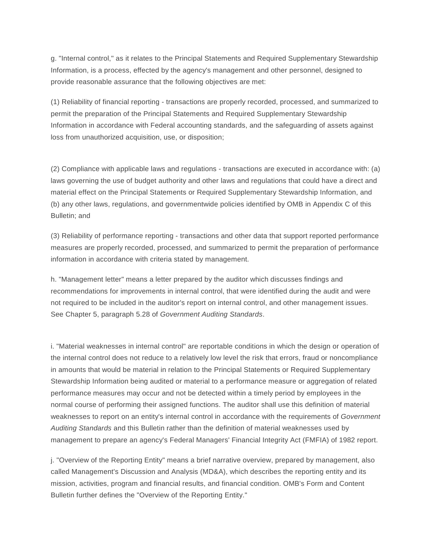g. "Internal control," as it relates to the Principal Statements and Required Supplementary Stewardship Information, is a process, effected by the agency's management and other personnel, designed to provide reasonable assurance that the following objectives are met:

(1) Reliability of financial reporting - transactions are properly recorded, processed, and summarized to permit the preparation of the Principal Statements and Required Supplementary Stewardship Information in accordance with Federal accounting standards, and the safeguarding of assets against loss from unauthorized acquisition, use, or disposition;

(2) Compliance with applicable laws and regulations - transactions are executed in accordance with: (a) laws governing the use of budget authority and other laws and regulations that could have a direct and material effect on the Principal Statements or Required Supplementary Stewardship Information, and (b) any other laws, regulations, and governmentwide policies identified by OMB in Appendix C of this Bulletin; and

(3) Reliability of performance reporting - transactions and other data that support reported performance measures are properly recorded, processed, and summarized to permit the preparation of performance information in accordance with criteria stated by management.

h. "Management letter" means a letter prepared by the auditor which discusses findings and recommendations for improvements in internal control, that were identified during the audit and were not required to be included in the auditor's report on internal control, and other management issues. See Chapter 5, paragraph 5.28 of *Government Auditing Standards*.

i. "Material weaknesses in internal control" are reportable conditions in which the design or operation of the internal control does not reduce to a relatively low level the risk that errors, fraud or noncompliance in amounts that would be material in relation to the Principal Statements or Required Supplementary Stewardship Information being audited or material to a performance measure or aggregation of related performance measures may occur and not be detected within a timely period by employees in the normal course of performing their assigned functions. The auditor shall use this definition of material weaknesses to report on an entity's internal control in accordance with the requirements of *Government Auditing Standards* and this Bulletin rather than the definition of material weaknesses used by management to prepare an agency's Federal Managers' Financial Integrity Act (FMFIA) of 1982 report.

j. "Overview of the Reporting Entity" means a brief narrative overview, prepared by management, also called Management's Discussion and Analysis (MD&A), which describes the reporting entity and its mission, activities, program and financial results, and financial condition. OMB's Form and Content Bulletin further defines the "Overview of the Reporting Entity."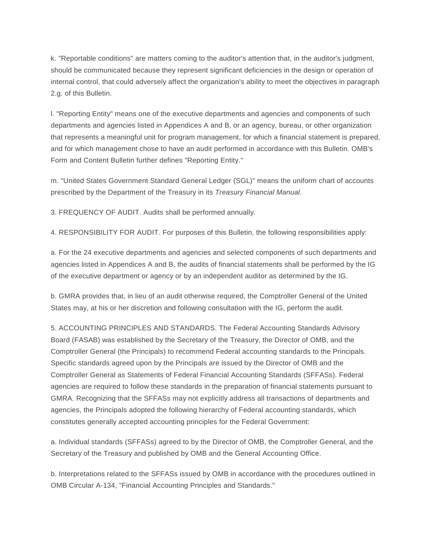k. "Reportable conditions" are matters coming to the auditor's attention that, in the auditor's judgment, should be communicated because they represent significant deficiencies in the design or operation of internal control, that could adversely affect the organization's ability to meet the objectives in paragraph 2.g. of this Bulletin.

l. "Reporting Entity" means one of the executive departments and agencies and components of such departments and agencies listed in Appendices A and B, or an agency, bureau, or other organization that represents a meaningful unit for program management, for which a financial statement is prepared, and for which management chose to have an audit performed in accordance with this Bulletin. OMB's Form and Content Bulletin further defines "Reporting Entity."

m. "United States Government Standard General Ledger (SGL)" means the uniform chart of accounts prescribed by the Department of the Treasury in its *Treasury Financial Manual*.

3. FREQUENCY OF AUDIT. Audits shall be performed annually.

4. RESPONSIBILITY FOR AUDIT. For purposes of this Bulletin, the following responsibilities apply:

a. For the 24 executive departments and agencies and selected components of such departments and agencies listed in Appendices A and B, the audits of financial statements shall be performed by the IG of the executive department or agency or by an independent auditor as determined by the IG.

b. GMRA provides that, in lieu of an audit otherwise required, the Comptroller General of the United States may, at his or her discretion and following consultation with the IG, perform the audit.

5. ACCOUNTING PRINCIPLES AND STANDARDS. The Federal Accounting Standards Advisory Board (FASAB) was established by the Secretary of the Treasury, the Director of OMB, and the Comptroller General (the Principals) to recommend Federal accounting standards to the Principals. Specific standards agreed upon by the Principals are issued by the Director of OMB and the Comptroller General as Statements of Federal Financial Accounting Standards (SFFASs). Federal agencies are required to follow these standards in the preparation of financial statements pursuant to GMRA. Recognizing that the SFFASs may not explicitly address all transactions of departments and agencies, the Principals adopted the following hierarchy of Federal accounting standards, which constitutes generally accepted accounting principles for the Federal Government:

a. Individual standards (SFFASs) agreed to by the Director of OMB, the Comptroller General, and the Secretary of the Treasury and published by OMB and the General Accounting Office.

b. Interpretations related to the SFFASs issued by OMB in accordance with the procedures outlined in OMB Circular A-134, "Financial Accounting Principles and Standards."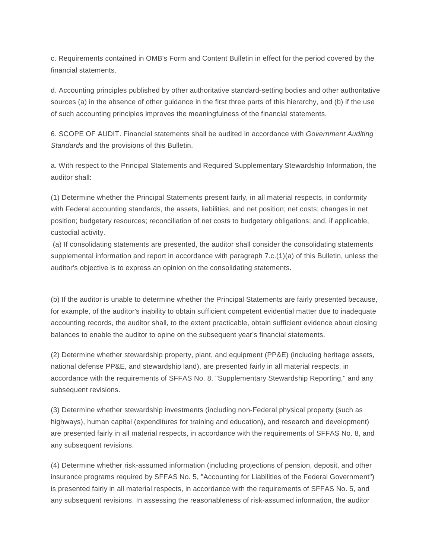c. Requirements contained in OMB's Form and Content Bulletin in effect for the period covered by the financial statements.

d. Accounting principles published by other authoritative standard-setting bodies and other authoritative sources (a) in the absence of other guidance in the first three parts of this hierarchy, and (b) if the use of such accounting principles improves the meaningfulness of the financial statements.

6. SCOPE OF AUDIT. Financial statements shall be audited in accordance with *Government Auditing Standards* and the provisions of this Bulletin.

a. With respect to the Principal Statements and Required Supplementary Stewardship Information, the auditor shall:

(1) Determine whether the Principal Statements present fairly, in all material respects, in conformity with Federal accounting standards, the assets, liabilities, and net position; net costs; changes in net position; budgetary resources; reconciliation of net costs to budgetary obligations; and, if applicable, custodial activity.

(a) If consolidating statements are presented, the auditor shall consider the consolidating statements supplemental information and report in accordance with paragraph 7.c.(1)(a) of this Bulletin, unless the auditor's objective is to express an opinion on the consolidating statements.

(b) If the auditor is unable to determine whether the Principal Statements are fairly presented because, for example, of the auditor's inability to obtain sufficient competent evidential matter due to inadequate accounting records, the auditor shall, to the extent practicable, obtain sufficient evidence about closing balances to enable the auditor to opine on the subsequent year's financial statements.

(2) Determine whether stewardship property, plant, and equipment (PP&E) (including heritage assets, national defense PP&E, and stewardship land), are presented fairly in all material respects, in accordance with the requirements of SFFAS No. 8, "Supplementary Stewardship Reporting," and any subsequent revisions.

(3) Determine whether stewardship investments (including non-Federal physical property (such as highways), human capital (expenditures for training and education), and research and development) are presented fairly in all material respects, in accordance with the requirements of SFFAS No. 8, and any subsequent revisions.

(4) Determine whether risk-assumed information (including projections of pension, deposit, and other insurance programs required by SFFAS No. 5, "Accounting for Liabilities of the Federal Government") is presented fairly in all material respects, in accordance with the requirements of SFFAS No. 5, and any subsequent revisions. In assessing the reasonableness of risk-assumed information, the auditor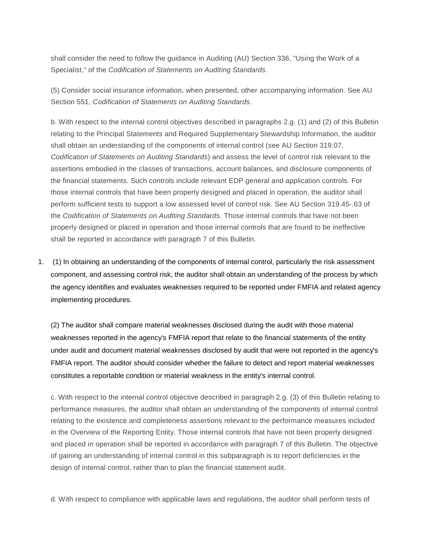shall consider the need to follow the guidance in Auditing (AU) Section 336, "Using the Work of a Specialist," of the *Codification of Statements on Auditing Standards*.

(5) Consider social insurance information, when presented, other accompanying information. See AU Section 551, *Codification of Statements on Auditing Standards*.

b. With respect to the internal control objectives described in paragraphs 2.g. (1) and (2) of this Bulletin relating to the Principal Statements and Required Supplementary Stewardship Information, the auditor shall obtain an understanding of the components of internal control (see AU Section 319.07, *Codification of Statements on Auditing Standards*) and assess the level of control risk relevant to the assertions embodied in the classes of transactions, account balances, and disclosure components of the financial statements. Such controls include relevant EDP general and application controls. For those internal controls that have been properly designed and placed in operation, the auditor shall perform sufficient tests to support a low assessed level of control risk. See AU Section 319.45-.63 of the *Codification of Statements on Auditing Standards*. Those internal controls that have not been properly designed or placed in operation and those internal controls that are found to be ineffective shall be reported in accordance with paragraph 7 of this Bulletin.

1. (1) In obtaining an understanding of the components of internal control, particularly the risk assessment component, and assessing control risk, the auditor shall obtain an understanding of the process by which the agency identifies and evaluates weaknesses required to be reported under FMFIA and related agency implementing procedures.

(2) The auditor shall compare material weaknesses disclosed during the audit with those material weaknesses reported in the agency's FMFIA report that relate to the financial statements of the entity under audit and document material weaknesses disclosed by audit that were not reported in the agency's FMFIA report. The auditor should consider whether the failure to detect and report material weaknesses constitutes a reportable condition or material weakness in the entity's internal control.

c. With respect to the internal control objective described in paragraph 2.g. (3) of this Bulletin relating to performance measures, the auditor shall obtain an understanding of the components of internal control relating to the existence and completeness assertions relevant to the performance measures included in the Overview of the Reporting Entity. Those internal controls that have not been properly designed and placed in operation shall be reported in accordance with paragraph 7 of this Bulletin. The objective of gaining an understanding of internal control in this subparagraph is to report deficiencies in the design of internal control, rather than to plan the financial statement audit.

d. With respect to compliance with applicable laws and regulations, the auditor shall perform tests of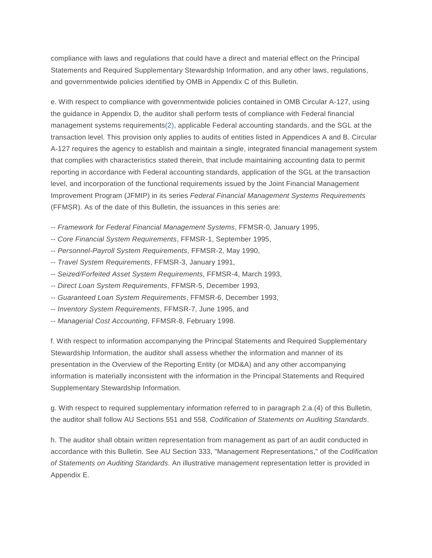compliance with laws and regulations that could have a direct and material effect on the Principal Statements and Required Supplementary Stewardship Information, and any other laws, regulations, and governmentwide policies identified by OMB in Appendix C of this Bulletin.

e. With respect to compliance with governmentwide policies contained in OMB Circular A-127, using the guidance in Appendix D, the auditor shall perform tests of compliance with Federal financial management systems requirement[s\(2\),](#page-35-1) applicable Federal accounting standards, and the SGL at the transaction level. This provision only applies to audits of entities listed in Appendices A and B. Circular A-127 requires the agency to establish and maintain a single, integrated financial management system that complies with characteristics stated therein, that include maintaining accounting data to permit reporting in accordance with Federal accounting standards, application of the SGL at the transaction level, and incorporation of the functional requirements issued by the Joint Financial Management Improvement Program (JFMIP) in its series *Federal Financial Management Systems Requirements* (FFMSR). As of the date of this Bulletin, the issuances in this series are:

- -- *Framework for Federal Financial Management Systems*, FFMSR-0, January 1995,
- -- *Core Financial System Requirements*, FFMSR-1, September 1995,
- -- *Personnel-Payroll System Requirements*, FFMSR-2, May 1990,
- -- *Travel System Requirements*, FFMSR-3, January 1991,
- -- *Seized/Forfeited Asset System Requirements*, FFMSR-4, March 1993,
- -- *Direct Loan System Requirements*, FFMSR-5, December 1993,
- -- *Guaranteed Loan System Requirements*, FFMSR-6, December 1993,
- -- *Inventory System Requirements*, FFMSR-7, June 1995, and
- -- *Managerial Cost Accounting*, FFMSR-8, February 1998.

f. With respect to information accompanying the Principal Statements and Required Supplementary Stewardship Information, the auditor shall assess whether the information and manner of its presentation in the Overview of the Reporting Entity (or MD&A) and any other accompanying information is materially inconsistent with the information in the Principal Statements and Required Supplementary Stewardship Information.

g. With respect to required supplementary information referred to in paragraph 2.a.(4) of this Bulletin, the auditor shall follow AU Sections 551 and 558, *Codification of Statements on Auditing Standards*.

h. The auditor shall obtain written representation from management as part of an audit conducted in accordance with this Bulletin. See AU Section 333, "Management Representations," of the *Codification of Statements on Auditing Standards*. An illustrative management representation letter is provided in Appendix E.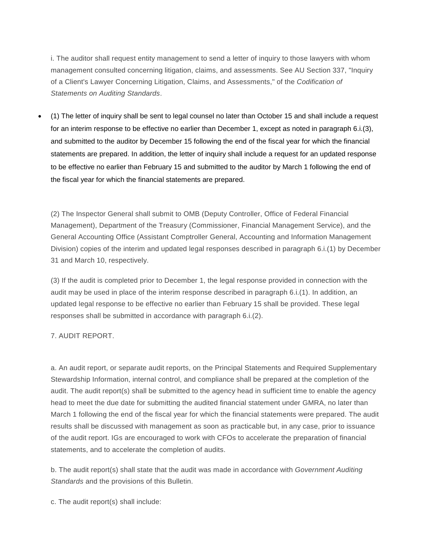i. The auditor shall request entity management to send a letter of inquiry to those lawyers with whom management consulted concerning litigation, claims, and assessments. See AU Section 337, "Inquiry of a Client's Lawyer Concerning Litigation, Claims, and Assessments," of the *Codification of Statements on Auditing Standards*.

• (1) The letter of inquiry shall be sent to legal counsel no later than October 15 and shall include a request for an interim response to be effective no earlier than December 1, except as noted in paragraph 6.i.(3), and submitted to the auditor by December 15 following the end of the fiscal year for which the financial statements are prepared. In addition, the letter of inquiry shall include a request for an updated response to be effective no earlier than February 15 and submitted to the auditor by March 1 following the end of the fiscal year for which the financial statements are prepared.

(2) The Inspector General shall submit to OMB (Deputy Controller, Office of Federal Financial Management), Department of the Treasury (Commissioner, Financial Management Service), and the General Accounting Office (Assistant Comptroller General, Accounting and Information Management Division) copies of the interim and updated legal responses described in paragraph 6.i.(1) by December 31 and March 10, respectively.

(3) If the audit is completed prior to December 1, the legal response provided in connection with the audit may be used in place of the interim response described in paragraph 6.i.(1). In addition, an updated legal response to be effective no earlier than February 15 shall be provided. These legal responses shall be submitted in accordance with paragraph 6.i.(2).

#### 7. AUDIT REPORT.

a. An audit report, or separate audit reports, on the Principal Statements and Required Supplementary Stewardship Information, internal control, and compliance shall be prepared at the completion of the audit. The audit report(s) shall be submitted to the agency head in sufficient time to enable the agency head to meet the due date for submitting the audited financial statement under GMRA, no later than March 1 following the end of the fiscal year for which the financial statements were prepared. The audit results shall be discussed with management as soon as practicable but, in any case, prior to issuance of the audit report. IGs are encouraged to work with CFOs to accelerate the preparation of financial statements, and to accelerate the completion of audits.

b. The audit report(s) shall state that the audit was made in accordance with *Government Auditing Standards* and the provisions of this Bulletin.

c. The audit report(s) shall include: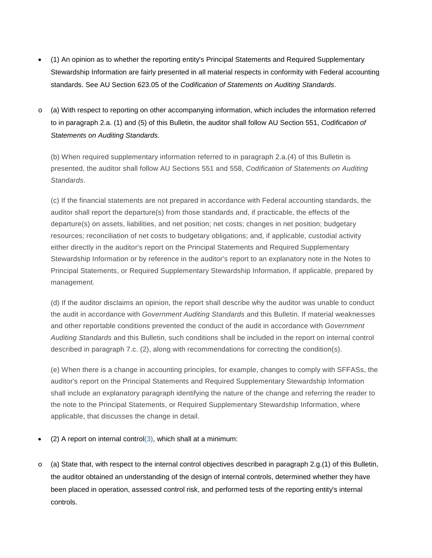- (1) An opinion as to whether the reporting entity's Principal Statements and Required Supplementary Stewardship Information are fairly presented in all material respects in conformity with Federal accounting standards. See AU Section 623.05 of the *Codification of Statements on Auditing Standards*.
- o (a) With respect to reporting on other accompanying information, which includes the information referred to in paragraph 2.a. (1) and (5) of this Bulletin, the auditor shall follow AU Section 551, *Codification of Statements on Auditing Standards*.

(b) When required supplementary information referred to in paragraph 2.a.(4) of this Bulletin is presented, the auditor shall follow AU Sections 551 and 558, *Codification of Statements on Auditing Standards*.

(c) If the financial statements are not prepared in accordance with Federal accounting standards, the auditor shall report the departure(s) from those standards and, if practicable, the effects of the departure(s) on assets, liabilities, and net position; net costs; changes in net position; budgetary resources; reconciliation of net costs to budgetary obligations; and, if applicable, custodial activity either directly in the auditor's report on the Principal Statements and Required Supplementary Stewardship Information or by reference in the auditor's report to an explanatory note in the Notes to Principal Statements, or Required Supplementary Stewardship Information, if applicable, prepared by management.

(d) If the auditor disclaims an opinion, the report shall describe why the auditor was unable to conduct the audit in accordance with *Government Auditing Standards* and this Bulletin. If material weaknesses and other reportable conditions prevented the conduct of the audit in accordance with *Government Auditing Standards* and this Bulletin, such conditions shall be included in the report on internal control described in paragraph 7.c. (2), along with recommendations for correcting the condition(s).

(e) When there is a change in accounting principles, for example, changes to comply with SFFASs, the auditor's report on the Principal Statements and Required Supplementary Stewardship Information shall include an explanatory paragraph identifying the nature of the change and referring the reader to the note to the Principal Statements, or Required Supplementary Stewardship Information, where applicable, that discusses the change in detail.

- (2) A report on internal contro[l\(3\),](#page-35-2) which shall at a minimum:
- o (a) State that, with respect to the internal control objectives described in paragraph 2.g.(1) of this Bulletin, the auditor obtained an understanding of the design of internal controls, determined whether they have been placed in operation, assessed control risk, and performed tests of the reporting entity's internal controls.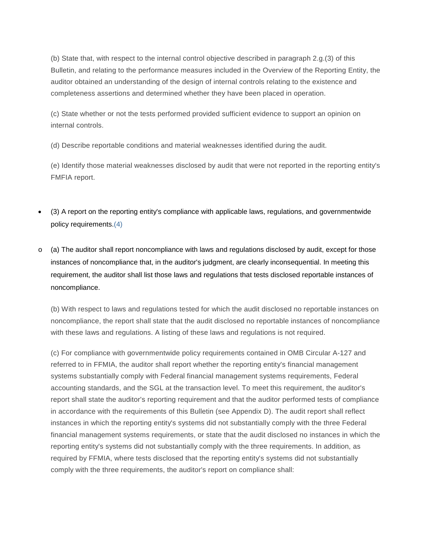(b) State that, with respect to the internal control objective described in paragraph 2.g.(3) of this Bulletin, and relating to the performance measures included in the Overview of the Reporting Entity, the auditor obtained an understanding of the design of internal controls relating to the existence and completeness assertions and determined whether they have been placed in operation.

(c) State whether or not the tests performed provided sufficient evidence to support an opinion on internal controls.

(d) Describe reportable conditions and material weaknesses identified during the audit.

(e) Identify those material weaknesses disclosed by audit that were not reported in the reporting entity's FMFIA report.

- (3) A report on the reporting entity's compliance with applicable laws, regulations, and governmentwide policy requirements[.\(4\)](#page-36-0)
- o (a) The auditor shall report noncompliance with laws and regulations disclosed by audit, except for those instances of noncompliance that, in the auditor's judgment, are clearly inconsequential. In meeting this requirement, the auditor shall list those laws and regulations that tests disclosed reportable instances of noncompliance.

(b) With respect to laws and regulations tested for which the audit disclosed no reportable instances on noncompliance, the report shall state that the audit disclosed no reportable instances of noncompliance with these laws and regulations. A listing of these laws and regulations is not required.

(c) For compliance with governmentwide policy requirements contained in OMB Circular A-127 and referred to in FFMIA, the auditor shall report whether the reporting entity's financial management systems substantially comply with Federal financial management systems requirements, Federal accounting standards, and the SGL at the transaction level. To meet this requirement, the auditor's report shall state the auditor's reporting requirement and that the auditor performed tests of compliance in accordance with the requirements of this Bulletin (see Appendix D). The audit report shall reflect instances in which the reporting entity's systems did not substantially comply with the three Federal financial management systems requirements, or state that the audit disclosed no instances in which the reporting entity's systems did not substantially comply with the three requirements. In addition, as required by FFMIA, where tests disclosed that the reporting entity's systems did not substantially comply with the three requirements, the auditor's report on compliance shall: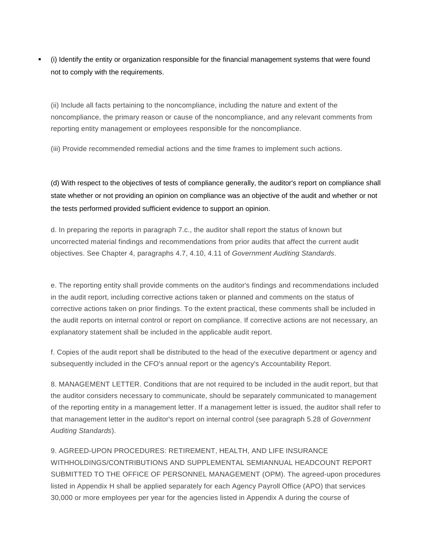(i) Identify the entity or organization responsible for the financial management systems that were found not to comply with the requirements.

(ii) Include all facts pertaining to the noncompliance, including the nature and extent of the noncompliance, the primary reason or cause of the noncompliance, and any relevant comments from reporting entity management or employees responsible for the noncompliance.

(iii) Provide recommended remedial actions and the time frames to implement such actions.

(d) With respect to the objectives of tests of compliance generally, the auditor's report on compliance shall state whether or not providing an opinion on compliance was an objective of the audit and whether or not the tests performed provided sufficient evidence to support an opinion.

d. In preparing the reports in paragraph 7.c., the auditor shall report the status of known but uncorrected material findings and recommendations from prior audits that affect the current audit objectives. See Chapter 4, paragraphs 4.7, 4.10, 4.11 of *Government Auditing Standards*.

e. The reporting entity shall provide comments on the auditor's findings and recommendations included in the audit report, including corrective actions taken or planned and comments on the status of corrective actions taken on prior findings. To the extent practical, these comments shall be included in the audit reports on internal control or report on compliance. If corrective actions are not necessary, an explanatory statement shall be included in the applicable audit report.

f. Copies of the audit report shall be distributed to the head of the executive department or agency and subsequently included in the CFO's annual report or the agency's Accountability Report.

8. MANAGEMENT LETTER. Conditions that are not required to be included in the audit report, but that the auditor considers necessary to communicate, should be separately communicated to management of the reporting entity in a management letter. If a management letter is issued, the auditor shall refer to that management letter in the auditor's report on internal control (see paragraph 5.28 of *Government Auditing Standards*).

9. AGREED-UPON PROCEDURES: RETIREMENT, HEALTH, AND LIFE INSURANCE WITHHOLDINGS/CONTRIBUTIONS AND SUPPLEMENTAL SEMIANNUAL HEADCOUNT REPORT SUBMITTED TO THE OFFICE OF PERSONNEL MANAGEMENT (OPM). The agreed-upon procedures listed in Appendix H shall be applied separately for each Agency Payroll Office (APO) that services 30,000 or more employees per year for the agencies listed in Appendix A during the course of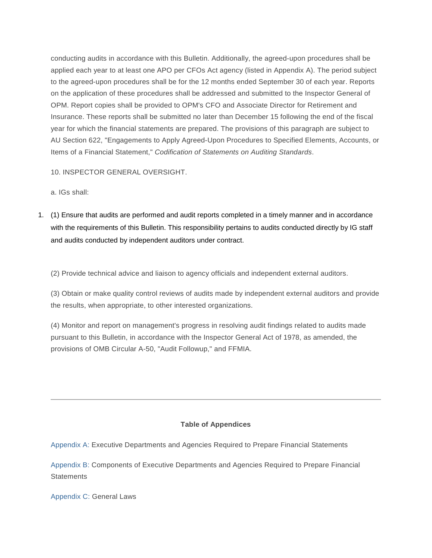conducting audits in accordance with this Bulletin. Additionally, the agreed-upon procedures shall be applied each year to at least one APO per CFOs Act agency (listed in Appendix A). The period subject to the agreed-upon procedures shall be for the 12 months ended September 30 of each year. Reports on the application of these procedures shall be addressed and submitted to the Inspector General of OPM. Report copies shall be provided to OPM's CFO and Associate Director for Retirement and Insurance. These reports shall be submitted no later than December 15 following the end of the fiscal year for which the financial statements are prepared. The provisions of this paragraph are subject to AU Section 622, "Engagements to Apply Agreed-Upon Procedures to Specified Elements, Accounts, or Items of a Financial Statement," *Codification of Statements on Auditing Standards*.

10. INSPECTOR GENERAL OVERSIGHT.

a. IGs shall:

1. (1) Ensure that audits are performed and audit reports completed in a timely manner and in accordance with the requirements of this Bulletin. This responsibility pertains to audits conducted directly by IG staff and audits conducted by independent auditors under contract.

(2) Provide technical advice and liaison to agency officials and independent external auditors.

(3) Obtain or make quality control reviews of audits made by independent external auditors and provide the results, when appropriate, to other interested organizations.

(4) Monitor and report on management's progress in resolving audit findings related to audits made pursuant to this Bulletin, in accordance with the Inspector General Act of 1978, as amended, the provisions of OMB Circular A-50, "Audit Followup," and FFMIA.

# **Table of Appendices**

[Appendix A:](#page-13-0) Executive Departments and Agencies Required to Prepare Financial Statements

[Appendix B:](#page-14-0) Components of Executive Departments and Agencies Required to Prepare Financial **Statements** 

[Appendix C:](#page-15-0) General Laws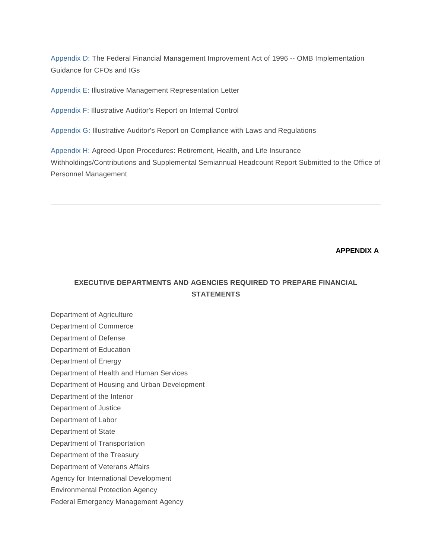[Appendix D:](#page-16-0) The Federal Financial Management Improvement Act of 1996 -- OMB Implementation Guidance for CFOs and IGs

[Appendix E:](#page-22-0) Illustrative Management Representation Letter

[Appendix F:](#page-26-0) Illustrative Auditor's Report on Internal Control

[Appendix G:](#page-28-0) Illustrative Auditor's Report on Compliance with Laws and Regulations

[Appendix H:](#page-30-0) Agreed-Upon Procedures: Retirement, Health, and Life Insurance Withholdings/Contributions and Supplemental Semiannual Headcount Report Submitted to the Office of Personnel Management

## **APPENDIX A**

# <span id="page-13-0"></span>**EXECUTIVE DEPARTMENTS AND AGENCIES REQUIRED TO PREPARE FINANCIAL STATEMENTS**

Department of Agriculture Department of Commerce Department of Defense Department of Education Department of Energy Department of Health and Human Services Department of Housing and Urban Development Department of the Interior Department of Justice Department of Labor Department of State Department of Transportation Department of the Treasury Department of Veterans Affairs Agency for International Development Environmental Protection Agency Federal Emergency Management Agency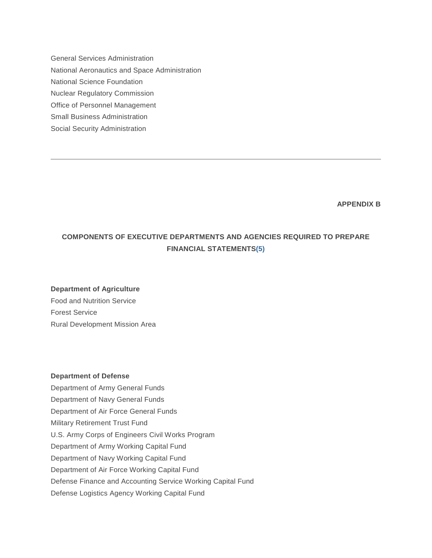General Services Administration National Aeronautics and Space Administration National Science Foundation Nuclear Regulatory Commission Office of Personnel Management Small Business Administration Social Security Administration

**APPENDIX B**

# <span id="page-14-0"></span>**COMPONENTS OF EXECUTIVE DEPARTMENTS AND AGENCIES REQUIRED TO PREPARE FINANCIAL STATEMENT[S\(5\)](https://www.whitehouse.gov/omb/bulletins_98-08#five)**

#### **Department of Agriculture**

Food and Nutrition Service Forest Service Rural Development Mission Area

#### **Department of Defense**

Department of Army General Funds Department of Navy General Funds Department of Air Force General Funds Military Retirement Trust Fund U.S. Army Corps of Engineers Civil Works Program Department of Army Working Capital Fund Department of Navy Working Capital Fund Department of Air Force Working Capital Fund Defense Finance and Accounting Service Working Capital Fund Defense Logistics Agency Working Capital Fund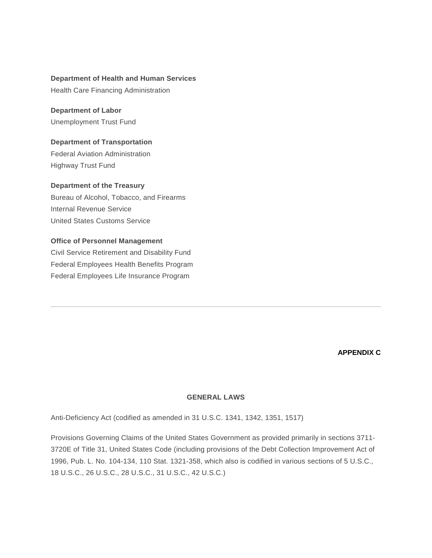#### **Department of Health and Human Services**

Health Care Financing Administration

**Department of Labor** Unemployment Trust Fund

**Department of Transportation** Federal Aviation Administration

Highway Trust Fund

# **Department of the Treasury**

Bureau of Alcohol, Tobacco, and Firearms Internal Revenue Service United States Customs Service

# **Office of Personnel Management**

Civil Service Retirement and Disability Fund Federal Employees Health Benefits Program Federal Employees Life Insurance Program

#### **APPENDIX C**

#### **GENERAL LAWS**

<span id="page-15-0"></span>Anti-Deficiency Act (codified as amended in 31 U.S.C. 1341, 1342, 1351, 1517)

Provisions Governing Claims of the United States Government as provided primarily in sections 3711- 3720E of Title 31, United States Code (including provisions of the Debt Collection Improvement Act of 1996, Pub. L. No. 104-134, 110 Stat. 1321-358, which also is codified in various sections of 5 U.S.C., 18 U.S.C., 26 U.S.C., 28 U.S.C., 31 U.S.C., 42 U.S.C.)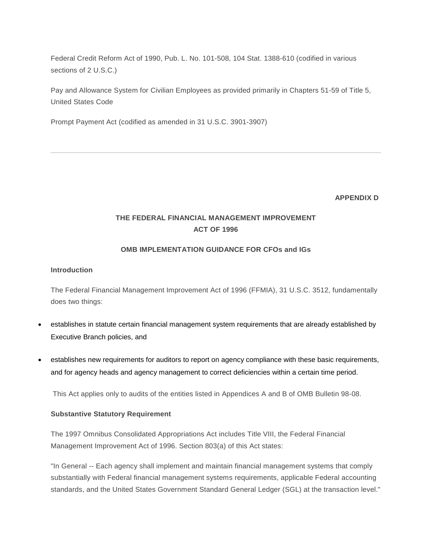Federal Credit Reform Act of 1990, Pub. L. No. 101-508, 104 Stat. 1388-610 (codified in various sections of 2 U.S.C.)

Pay and Allowance System for Civilian Employees as provided primarily in Chapters 51-59 of Title 5, United States Code

Prompt Payment Act (codified as amended in 31 U.S.C. 3901-3907)

#### **APPENDIX D**

# <span id="page-16-0"></span>**THE FEDERAL FINANCIAL MANAGEMENT IMPROVEMENT ACT OF 1996**

#### **OMB IMPLEMENTATION GUIDANCE FOR CFOs and IGs**

#### **Introduction**

The Federal Financial Management Improvement Act of 1996 (FFMIA), 31 U.S.C. 3512, fundamentally does two things:

- establishes in statute certain financial management system requirements that are already established by Executive Branch policies, and
- establishes new requirements for auditors to report on agency compliance with these basic requirements, and for agency heads and agency management to correct deficiencies within a certain time period.

This Act applies only to audits of the entities listed in Appendices A and B of OMB Bulletin 98-08.

#### **Substantive Statutory Requirement**

The 1997 Omnibus Consolidated Appropriations Act includes Title VIII, the Federal Financial Management Improvement Act of 1996. Section 803(a) of this Act states:

"In General -- Each agency shall implement and maintain financial management systems that comply substantially with Federal financial management systems requirements, applicable Federal accounting standards, and the United States Government Standard General Ledger (SGL) at the transaction level."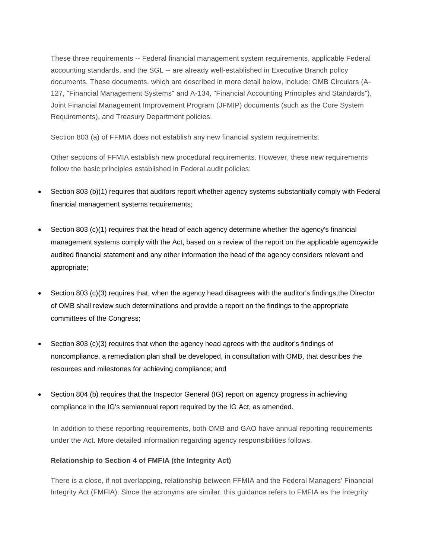These three requirements -- Federal financial management system requirements, applicable Federal accounting standards, and the SGL -- are already well-established in Executive Branch policy documents. These documents, which are described in more detail below, include: OMB Circulars (A-127, "Financial Management Systems" and A-134, "Financial Accounting Principles and Standards"), Joint Financial Management Improvement Program (JFMIP) documents (such as the Core System Requirements), and Treasury Department policies.

Section 803 (a) of FFMIA does not establish any new financial system requirements.

Other sections of FFMIA establish new procedural requirements. However, these new requirements follow the basic principles established in Federal audit policies:

- Section 803 (b)(1) requires that auditors report whether agency systems substantially comply with Federal financial management systems requirements;
- Section 803 (c)(1) requires that the head of each agency determine whether the agency's financial management systems comply with the Act, based on a review of the report on the applicable agencywide audited financial statement and any other information the head of the agency considers relevant and appropriate;
- Section 803 (c)(3) requires that, when the agency head disagrees with the auditor's findings, the Director of OMB shall review such determinations and provide a report on the findings to the appropriate committees of the Congress;
- Section 803 (c)(3) requires that when the agency head agrees with the auditor's findings of noncompliance, a remediation plan shall be developed, in consultation with OMB, that describes the resources and milestones for achieving compliance; and
- Section 804 (b) requires that the Inspector General (IG) report on agency progress in achieving compliance in the IG's semiannual report required by the IG Act, as amended.

In addition to these reporting requirements, both OMB and GAO have annual reporting requirements under the Act. More detailed information regarding agency responsibilities follows.

# **Relationship to Section 4 of FMFIA (the Integrity Act)**

There is a close, if not overlapping, relationship between FFMIA and the Federal Managers' Financial Integrity Act (FMFIA). Since the acronyms are similar, this guidance refers to FMFIA as the Integrity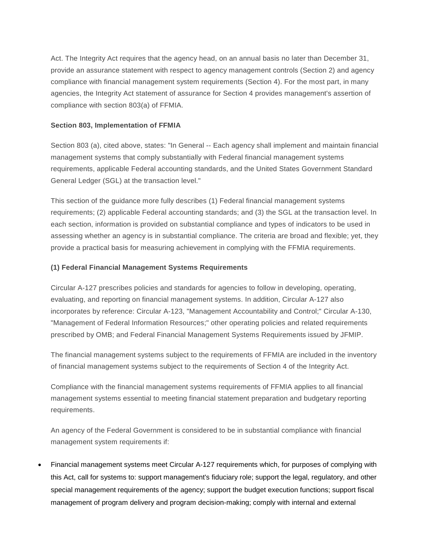Act. The Integrity Act requires that the agency head, on an annual basis no later than December 31, provide an assurance statement with respect to agency management controls (Section 2) and agency compliance with financial management system requirements (Section 4). For the most part, in many agencies, the Integrity Act statement of assurance for Section 4 provides management's assertion of compliance with section 803(a) of FFMIA.

# **Section 803, Implementation of FFMIA**

Section 803 (a), cited above, states: "In General -- Each agency shall implement and maintain financial management systems that comply substantially with Federal financial management systems requirements, applicable Federal accounting standards, and the United States Government Standard General Ledger (SGL) at the transaction level."

This section of the guidance more fully describes (1) Federal financial management systems requirements; (2) applicable Federal accounting standards; and (3) the SGL at the transaction level. In each section, information is provided on substantial compliance and types of indicators to be used in assessing whether an agency is in substantial compliance. The criteria are broad and flexible; yet, they provide a practical basis for measuring achievement in complying with the FFMIA requirements.

# **(1) Federal Financial Management Systems Requirements**

Circular A-127 prescribes policies and standards for agencies to follow in developing, operating, evaluating, and reporting on financial management systems. In addition, Circular A-127 also incorporates by reference: Circular A-123, "Management Accountability and Control;" Circular A-130, "Management of Federal Information Resources;" other operating policies and related requirements prescribed by OMB; and Federal Financial Management Systems Requirements issued by JFMIP.

The financial management systems subject to the requirements of FFMIA are included in the inventory of financial management systems subject to the requirements of Section 4 of the Integrity Act.

Compliance with the financial management systems requirements of FFMIA applies to all financial management systems essential to meeting financial statement preparation and budgetary reporting requirements.

An agency of the Federal Government is considered to be in substantial compliance with financial management system requirements if:

• Financial management systems meet Circular A-127 requirements which, for purposes of complying with this Act, call for systems to: support management's fiduciary role; support the legal, regulatory, and other special management requirements of the agency; support the budget execution functions; support fiscal management of program delivery and program decision-making; comply with internal and external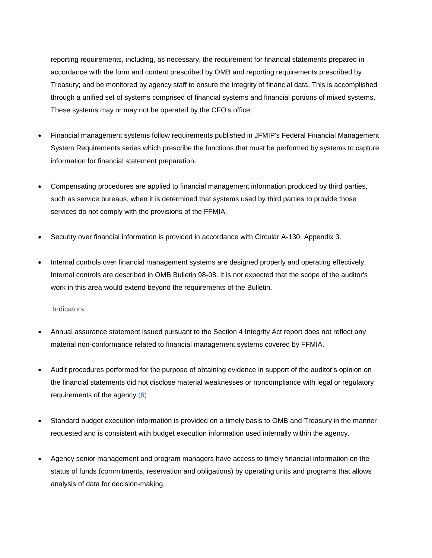reporting requirements, including, as necessary, the requirement for financial statements prepared in accordance with the form and content prescribed by OMB and reporting requirements prescribed by Treasury; and be monitored by agency staff to ensure the integrity of financial data. This is accomplished through a unified set of systems comprised of financial systems and financial portions of mixed systems. These systems may or may not be operated by the CFO's office.

- Financial management systems follow requirements published in JFMIP's Federal Financial Management System Requirements series which prescribe the functions that must be performed by systems to capture information for financial statement preparation.
- Compensating procedures are applied to financial management information produced by third parties, such as service bureaus, when it is determined that systems used by third parties to provide those services do not comply with the provisions of the FFMIA.
- Security over financial information is provided in accordance with Circular A-130, Appendix 3.
- Internal controls over financial management systems are designed properly and operating effectively. Internal controls are described in OMB Bulletin 98-08. It is not expected that the scope of the auditor's work in this area would extend beyond the requirements of the Bulletin.

Indicators:

- Annual assurance statement issued pursuant to the Section 4 Integrity Act report does not reflect any material non-conformance related to financial management systems covered by FFMIA.
- Audit procedures performed for the purpose of obtaining evidence in support of the auditor's opinion on the financial statements did not disclose material weaknesses or noncompliance with legal or regulatory requirements of the agency[.\(6\)](#page-36-1)
- Standard budget execution information is provided on a timely basis to OMB and Treasury in the manner requested and is consistent with budget execution information used internally within the agency.
- Agency senior management and program managers have access to timely financial information on the status of funds (commitments, reservation and obligations) by operating units and programs that allows analysis of data for decision-making.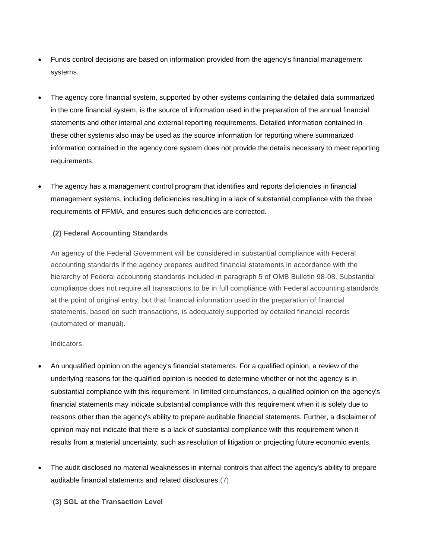- Funds control decisions are based on information provided from the agency's financial management systems.
- The agency core financial system, supported by other systems containing the detailed data summarized in the core financial system, is the source of information used in the preparation of the annual financial statements and other internal and external reporting requirements. Detailed information contained in these other systems also may be used as the source information for reporting where summarized information contained in the agency core system does not provide the details necessary to meet reporting requirements.
- The agency has a management control program that identifies and reports deficiencies in financial management systems, including deficiencies resulting in a lack of substantial compliance with the three requirements of FFMIA, and ensures such deficiencies are corrected.

# **(2) Federal Accounting Standards**

An agency of the Federal Government will be considered in substantial compliance with Federal accounting standards if the agency prepares audited financial statements in accordance with the hierarchy of Federal accounting standards included in paragraph 5 of OMB Bulletin 98-08. Substantial compliance does not require all transactions to be in full compliance with Federal accounting standards at the point of original entry, but that financial information used in the preparation of financial statements, based on such transactions, is adequately supported by detailed financial records (automated or manual).

#### Indicators:

- An unqualified opinion on the agency's financial statements. For a qualified opinion, a review of the underlying reasons for the qualified opinion is needed to determine whether or not the agency is in substantial compliance with this requirement. In limited circumstances, a qualified opinion on the agency's financial statements may indicate substantial compliance with this requirement when it is solely due to reasons other than the agency's ability to prepare auditable financial statements. Further, a disclaimer of opinion may not indicate that there is a lack of substantial compliance with this requirement when it results from a material uncertainty, such as resolution of litigation or projecting future economic events.
- The audit disclosed no material weaknesses in internal controls that affect the agency's ability to prepare auditable financial statements and related disclosures[.\(7\)](#page-36-2)

**(3) SGL at the Transaction Level**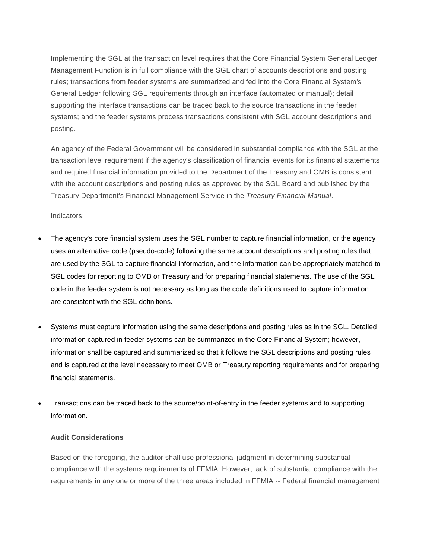Implementing the SGL at the transaction level requires that the Core Financial System General Ledger Management Function is in full compliance with the SGL chart of accounts descriptions and posting rules; transactions from feeder systems are summarized and fed into the Core Financial System's General Ledger following SGL requirements through an interface (automated or manual); detail supporting the interface transactions can be traced back to the source transactions in the feeder systems; and the feeder systems process transactions consistent with SGL account descriptions and posting.

An agency of the Federal Government will be considered in substantial compliance with the SGL at the transaction level requirement if the agency's classification of financial events for its financial statements and required financial information provided to the Department of the Treasury and OMB is consistent with the account descriptions and posting rules as approved by the SGL Board and published by the Treasury Department's Financial Management Service in the *Treasury Financial Manual*.

Indicators:

- The agency's core financial system uses the SGL number to capture financial information, or the agency uses an alternative code (pseudo-code) following the same account descriptions and posting rules that are used by the SGL to capture financial information, and the information can be appropriately matched to SGL codes for reporting to OMB or Treasury and for preparing financial statements. The use of the SGL code in the feeder system is not necessary as long as the code definitions used to capture information are consistent with the SGL definitions.
- Systems must capture information using the same descriptions and posting rules as in the SGL. Detailed information captured in feeder systems can be summarized in the Core Financial System; however, information shall be captured and summarized so that it follows the SGL descriptions and posting rules and is captured at the level necessary to meet OMB or Treasury reporting requirements and for preparing financial statements.
- Transactions can be traced back to the source/point-of-entry in the feeder systems and to supporting information.

#### **Audit Considerations**

Based on the foregoing, the auditor shall use professional judgment in determining substantial compliance with the systems requirements of FFMIA. However, lack of substantial compliance with the requirements in any one or more of the three areas included in FFMIA -- Federal financial management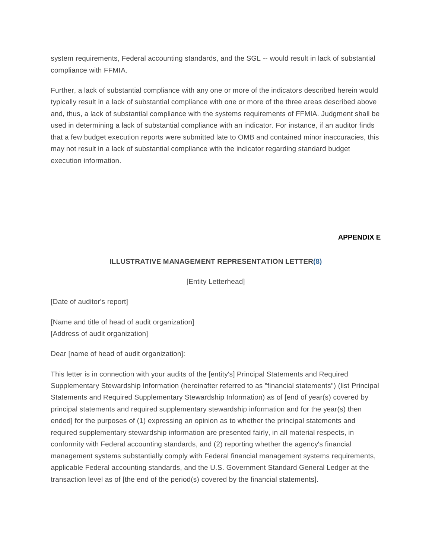system requirements, Federal accounting standards, and the SGL -- would result in lack of substantial compliance with FFMIA.

Further, a lack of substantial compliance with any one or more of the indicators described herein would typically result in a lack of substantial compliance with one or more of the three areas described above and, thus, a lack of substantial compliance with the systems requirements of FFMIA. Judgment shall be used in determining a lack of substantial compliance with an indicator. For instance, if an auditor finds that a few budget execution reports were submitted late to OMB and contained minor inaccuracies, this may not result in a lack of substantial compliance with the indicator regarding standard budget execution information.

# **APPENDIX E**

# <span id="page-22-0"></span>**ILLUSTRATIVE MANAGEMENT REPRESENTATION LETTE[R\(8\)](#page-36-3)**

[Entity Letterhead]

[Date of auditor's report]

[Name and title of head of audit organization] [Address of audit organization]

Dear [name of head of audit organization]:

This letter is in connection with your audits of the [entity's] Principal Statements and Required Supplementary Stewardship Information (hereinafter referred to as "financial statements") (list Principal Statements and Required Supplementary Stewardship Information) as of [end of year(s) covered by principal statements and required supplementary stewardship information and for the year(s) then ended] for the purposes of (1) expressing an opinion as to whether the principal statements and required supplementary stewardship information are presented fairly, in all material respects, in conformity with Federal accounting standards, and (2) reporting whether the agency's financial management systems substantially comply with Federal financial management systems requirements, applicable Federal accounting standards, and the U.S. Government Standard General Ledger at the transaction level as of [the end of the period(s) covered by the financial statements].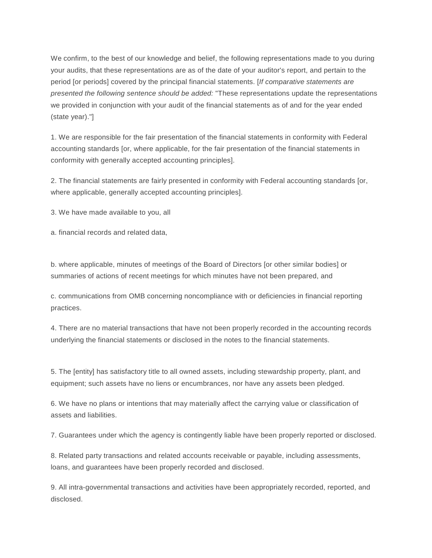We confirm, to the best of our knowledge and belief, the following representations made to you during your audits, that these representations are as of the date of your auditor's report, and pertain to the period [or periods] covered by the principal financial statements. [*If comparative statements are presented the following sentence should be added:* "These representations update the representations we provided in conjunction with your audit of the financial statements as of and for the year ended (state year)."]

1. We are responsible for the fair presentation of the financial statements in conformity with Federal accounting standards [or, where applicable, for the fair presentation of the financial statements in conformity with generally accepted accounting principles].

2. The financial statements are fairly presented in conformity with Federal accounting standards [or, where applicable, generally accepted accounting principles].

3. We have made available to you, all

a. financial records and related data,

b. where applicable, minutes of meetings of the Board of Directors [or other similar bodies] or summaries of actions of recent meetings for which minutes have not been prepared, and

c. communications from OMB concerning noncompliance with or deficiencies in financial reporting practices.

4. There are no material transactions that have not been properly recorded in the accounting records underlying the financial statements or disclosed in the notes to the financial statements.

5. The [entity] has satisfactory title to all owned assets, including stewardship property, plant, and equipment; such assets have no liens or encumbrances, nor have any assets been pledged.

6. We have no plans or intentions that may materially affect the carrying value or classification of assets and liabilities.

7. Guarantees under which the agency is contingently liable have been properly reported or disclosed.

8. Related party transactions and related accounts receivable or payable, including assessments, loans, and guarantees have been properly recorded and disclosed.

9. All intra-governmental transactions and activities have been appropriately recorded, reported, and disclosed.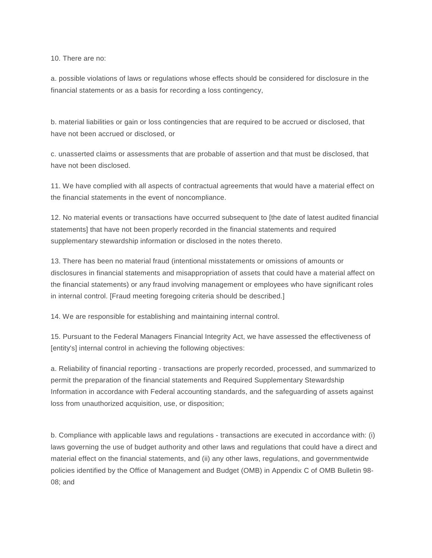10. There are no:

a. possible violations of laws or regulations whose effects should be considered for disclosure in the financial statements or as a basis for recording a loss contingency,

b. material liabilities or gain or loss contingencies that are required to be accrued or disclosed, that have not been accrued or disclosed, or

c. unasserted claims or assessments that are probable of assertion and that must be disclosed, that have not been disclosed.

11. We have complied with all aspects of contractual agreements that would have a material effect on the financial statements in the event of noncompliance.

12. No material events or transactions have occurred subsequent to [the date of latest audited financial statements] that have not been properly recorded in the financial statements and required supplementary stewardship information or disclosed in the notes thereto.

13. There has been no material fraud (intentional misstatements or omissions of amounts or disclosures in financial statements and misappropriation of assets that could have a material affect on the financial statements) or any fraud involving management or employees who have significant roles in internal control. [Fraud meeting foregoing criteria should be described.]

14. We are responsible for establishing and maintaining internal control.

15. Pursuant to the Federal Managers Financial Integrity Act, we have assessed the effectiveness of [entity's] internal control in achieving the following objectives:

a. Reliability of financial reporting - transactions are properly recorded, processed, and summarized to permit the preparation of the financial statements and Required Supplementary Stewardship Information in accordance with Federal accounting standards, and the safeguarding of assets against loss from unauthorized acquisition, use, or disposition;

b. Compliance with applicable laws and regulations - transactions are executed in accordance with: (i) laws governing the use of budget authority and other laws and regulations that could have a direct and material effect on the financial statements, and (ii) any other laws, regulations, and governmentwide policies identified by the Office of Management and Budget (OMB) in Appendix C of OMB Bulletin 98- 08; and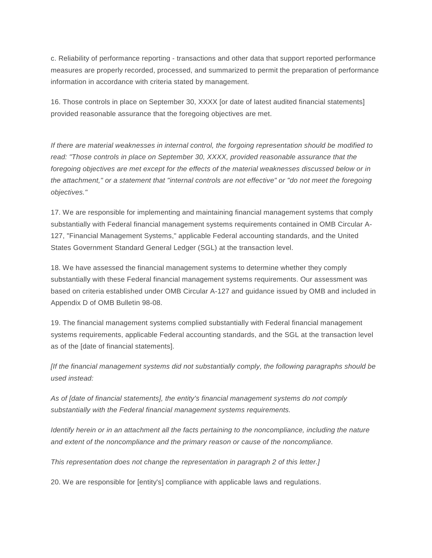c. Reliability of performance reporting - transactions and other data that support reported performance measures are properly recorded, processed, and summarized to permit the preparation of performance information in accordance with criteria stated by management.

16. Those controls in place on September 30, XXXX [or date of latest audited financial statements] provided reasonable assurance that the foregoing objectives are met.

*If there are material weaknesses in internal control, the forgoing representation should be modified to read: "Those controls in place on September 30, XXXX, provided reasonable assurance that the foregoing objectives are met except for the effects of the material weaknesses discussed below or in the attachment," or a statement that "internal controls are not effective" or "do not meet the foregoing objectives."*

17. We are responsible for implementing and maintaining financial management systems that comply substantially with Federal financial management systems requirements contained in OMB Circular A-127, "Financial Management Systems," applicable Federal accounting standards, and the United States Government Standard General Ledger (SGL) at the transaction level.

18. We have assessed the financial management systems to determine whether they comply substantially with these Federal financial management systems requirements. Our assessment was based on criteria established under OMB Circular A-127 and guidance issued by OMB and included in Appendix D of OMB Bulletin 98-08.

19. The financial management systems complied substantially with Federal financial management systems requirements, applicable Federal accounting standards, and the SGL at the transaction level as of the [date of financial statements].

*[If the financial management systems did not substantially comply, the following paragraphs should be used instead:*

*As of [date of financial statements], the entity's financial management systems do not comply substantially with the Federal financial management systems requirements.*

*Identify herein or in an attachment all the facts pertaining to the noncompliance, including the nature and extent of the noncompliance and the primary reason or cause of the noncompliance.*

*This representation does not change the representation in paragraph 2 of this letter.]*

20. We are responsible for [entity's] compliance with applicable laws and regulations.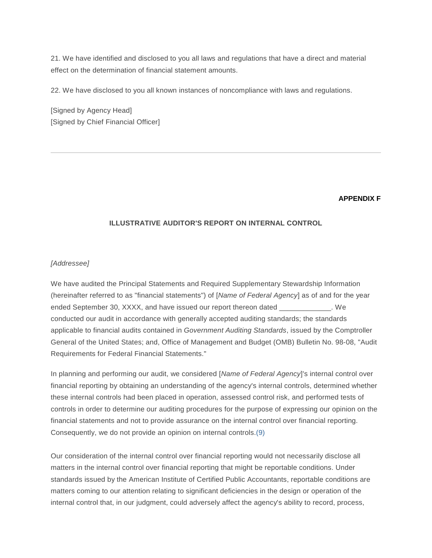21. We have identified and disclosed to you all laws and regulations that have a direct and material effect on the determination of financial statement amounts.

22. We have disclosed to you all known instances of noncompliance with laws and regulations.

[Signed by Agency Head] [Signed by Chief Financial Officer]

# **APPENDIX F**

# <span id="page-26-0"></span>**ILLUSTRATIVE AUDITOR'S REPORT ON INTERNAL CONTROL**

#### *[Addressee]*

We have audited the Principal Statements and Required Supplementary Stewardship Information (hereinafter referred to as "financial statements") of [*Name of Federal Agency*] as of and for the year ended September 30, XXXX, and have issued our report thereon dated \_\_\_\_\_\_\_\_\_\_\_\_\_. We conducted our audit in accordance with generally accepted auditing standards; the standards applicable to financial audits contained in *Government Auditing Standards*, issued by the Comptroller General of the United States; and, Office of Management and Budget (OMB) Bulletin No. 98-08, "Audit Requirements for Federal Financial Statements."

In planning and performing our audit, we considered [*Name of Federal Agency*]'s internal control over financial reporting by obtaining an understanding of the agency's internal controls, determined whether these internal controls had been placed in operation, assessed control risk, and performed tests of controls in order to determine our auditing procedures for the purpose of expressing our opinion on the financial statements and not to provide assurance on the internal control over financial reporting. Consequently, we do not provide an opinion on internal controls[.\(9\)](#page-36-4)

Our consideration of the internal control over financial reporting would not necessarily disclose all matters in the internal control over financial reporting that might be reportable conditions. Under standards issued by the American Institute of Certified Public Accountants, reportable conditions are matters coming to our attention relating to significant deficiencies in the design or operation of the internal control that, in our judgment, could adversely affect the agency's ability to record, process,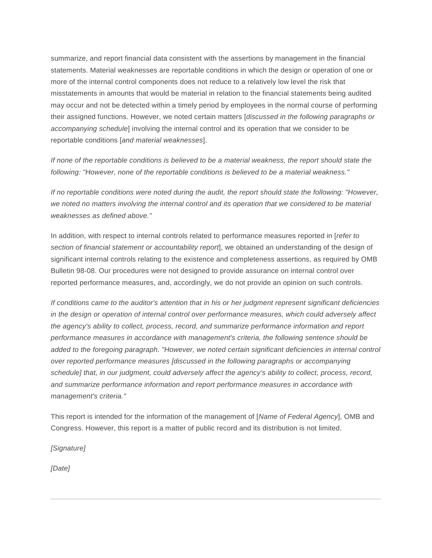summarize, and report financial data consistent with the assertions by management in the financial statements. Material weaknesses are reportable conditions in which the design or operation of one or more of the internal control components does not reduce to a relatively low level the risk that misstatements in amounts that would be material in relation to the financial statements being audited may occur and not be detected within a timely period by employees in the normal course of performing their assigned functions. However, we noted certain matters [*discussed in the following paragraphs or accompanying schedule*] involving the internal control and its operation that we consider to be reportable conditions [*and material weaknesses*].

*If none of the reportable conditions is believed to be a material weakness, the report should state the following: "However, none of the reportable conditions is believed to be a material weakness."*

*If no reportable conditions were noted during the audit, the report should state the following: "However,*  we noted no matters involving the internal control and its operation that we considered to be material *weaknesses as defined above."*

In addition, with respect to internal controls related to performance measures reported in [*refer to section of financial statement or accountability report*], we obtained an understanding of the design of significant internal controls relating to the existence and completeness assertions, as required by OMB Bulletin 98-08. Our procedures were not designed to provide assurance on internal control over reported performance measures, and, accordingly, we do not provide an opinion on such controls.

*If conditions came to the auditor's attention that in his or her judgment represent significant deficiencies in the design or operation of internal control over performance measures, which could adversely affect the agency's ability to collect, process, record, and summarize performance information and report performance measures in accordance with management's criteria, the following sentence should be added to the foregoing paragraph. "However, we noted certain significant deficiencies in internal control over reported performance measures [discussed in the following paragraphs or accompanying schedule] that, in our judgment, could adversely affect the agency's ability to collect, process, record, and summarize performance information and report performance measures in accordance with management's criteria."*

This report is intended for the information of the management of [*Name of Federal Agency*], OMB and Congress. However, this report is a matter of public record and its distribution is not limited.

*[Signature]*

*[Date]*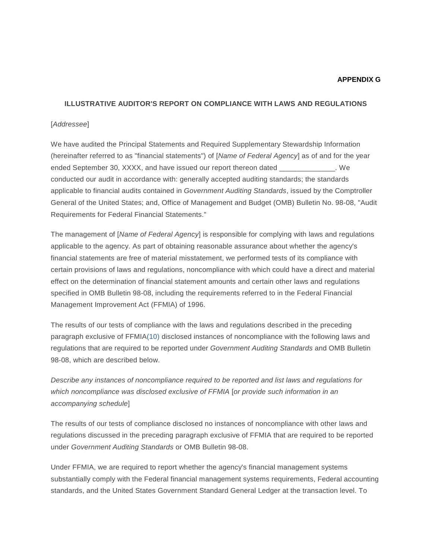#### **APPENDIX G**

#### <span id="page-28-0"></span>**ILLUSTRATIVE AUDITOR'S REPORT ON COMPLIANCE WITH LAWS AND REGULATIONS**

#### [*Addressee*]

We have audited the Principal Statements and Required Supplementary Stewardship Information (hereinafter referred to as "financial statements") of [*Name of Federal Agency*] as of and for the year ended September 30, XXXX, and have issued our report thereon dated \_\_\_\_\_\_\_\_\_\_\_\_\_\_. We conducted our audit in accordance with: generally accepted auditing standards; the standards applicable to financial audits contained in *Government Auditing Standards*, issued by the Comptroller General of the United States; and, Office of Management and Budget (OMB) Bulletin No. 98-08, "Audit Requirements for Federal Financial Statements."

The management of [*Name of Federal Agency*] is responsible for complying with laws and regulations applicable to the agency. As part of obtaining reasonable assurance about whether the agency's financial statements are free of material misstatement, we performed tests of its compliance with certain provisions of laws and regulations, noncompliance with which could have a direct and material effect on the determination of financial statement amounts and certain other laws and regulations specified in OMB Bulletin 98-08, including the requirements referred to in the Federal Financial Management Improvement Act (FFMIA) of 1996.

The results of our tests of compliance with the laws and regulations described in the preceding paragraph exclusive of FFMI[A\(10\)](#page-36-5) disclosed instances of noncompliance with the following laws and regulations that are required to be reported under *Government Auditing Standards* and OMB Bulletin 98-08, which are described below.

*Describe any instances of noncompliance required to be reported and list laws and regulations for which noncompliance was disclosed exclusive of FFMIA* [*or provide such information in an accompanying schedule*]

The results of our tests of compliance disclosed no instances of noncompliance with other laws and regulations discussed in the preceding paragraph exclusive of FFMIA that are required to be reported under *Government Auditing Standards* or OMB Bulletin 98-08.

Under FFMIA, we are required to report whether the agency's financial management systems substantially comply with the Federal financial management systems requirements, Federal accounting standards, and the United States Government Standard General Ledger at the transaction level. To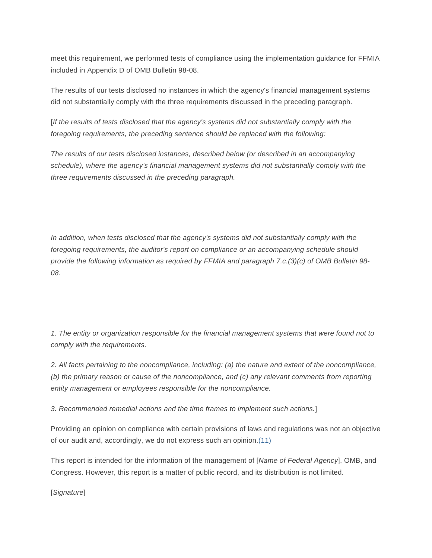meet this requirement, we performed tests of compliance using the implementation guidance for FFMIA included in Appendix D of OMB Bulletin 98-08.

The results of our tests disclosed no instances in which the agency's financial management systems did not substantially comply with the three requirements discussed in the preceding paragraph.

[*If the results of tests disclosed that the agency's systems did not substantially comply with the foregoing requirements, the preceding sentence should be replaced with the following:*

*The results of our tests disclosed instances, described below (or described in an accompanying schedule), where the agency's financial management systems did not substantially comply with the three requirements discussed in the preceding paragraph.*

In addition, when tests disclosed that the agency's systems did not substantially comply with the *foregoing requirements, the auditor's report on compliance or an accompanying schedule should provide the following information as required by FFMIA and paragraph 7.c.(3)(c) of OMB Bulletin 98- 08.*

*1. The entity or organization responsible for the financial management systems that were found not to comply with the requirements.*

*2. All facts pertaining to the noncompliance, including: (a) the nature and extent of the noncompliance, (b) the primary reason or cause of the noncompliance, and (c) any relevant comments from reporting entity management or employees responsible for the noncompliance.*

*3. Recommended remedial actions and the time frames to implement such actions.*]

Providing an opinion on compliance with certain provisions of laws and regulations was not an objective of our audit and, accordingly, we do not express such an opinion[.\(11\)](#page-37-0)

This report is intended for the information of the management of [*Name of Federal Agency*], OMB, and Congress. However, this report is a matter of public record, and its distribution is not limited.

[*Signature*]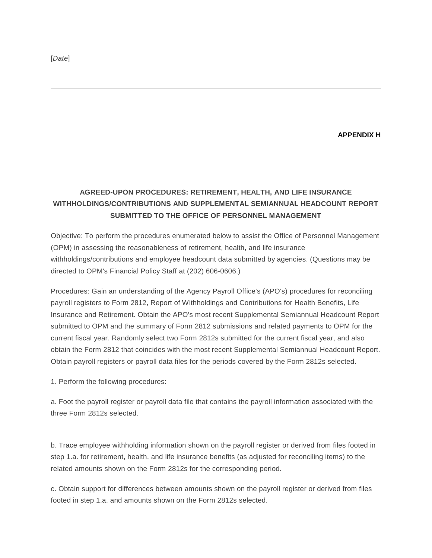**APPENDIX H**

# <span id="page-30-0"></span>**AGREED-UPON PROCEDURES: RETIREMENT, HEALTH, AND LIFE INSURANCE WITHHOLDINGS/CONTRIBUTIONS AND SUPPLEMENTAL SEMIANNUAL HEADCOUNT REPORT SUBMITTED TO THE OFFICE OF PERSONNEL MANAGEMENT**

Objective: To perform the procedures enumerated below to assist the Office of Personnel Management (OPM) in assessing the reasonableness of retirement, health, and life insurance withholdings/contributions and employee headcount data submitted by agencies. (Questions may be directed to OPM's Financial Policy Staff at (202) 606-0606.)

Procedures: Gain an understanding of the Agency Payroll Office's (APO's) procedures for reconciling payroll registers to Form 2812, Report of Withholdings and Contributions for Health Benefits, Life Insurance and Retirement. Obtain the APO's most recent Supplemental Semiannual Headcount Report submitted to OPM and the summary of Form 2812 submissions and related payments to OPM for the current fiscal year. Randomly select two Form 2812s submitted for the current fiscal year, and also obtain the Form 2812 that coincides with the most recent Supplemental Semiannual Headcount Report. Obtain payroll registers or payroll data files for the periods covered by the Form 2812s selected.

1. Perform the following procedures:

a. Foot the payroll register or payroll data file that contains the payroll information associated with the three Form 2812s selected.

b. Trace employee withholding information shown on the payroll register or derived from files footed in step 1.a. for retirement, health, and life insurance benefits (as adjusted for reconciling items) to the related amounts shown on the Form 2812s for the corresponding period.

c. Obtain support for differences between amounts shown on the payroll register or derived from files footed in step 1.a. and amounts shown on the Form 2812s selected.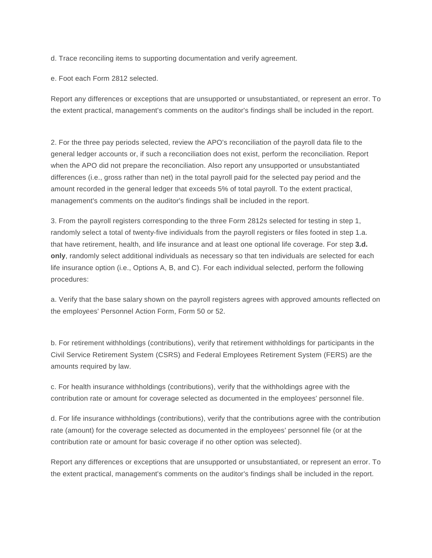d. Trace reconciling items to supporting documentation and verify agreement.

e. Foot each Form 2812 selected.

Report any differences or exceptions that are unsupported or unsubstantiated, or represent an error. To the extent practical, management's comments on the auditor's findings shall be included in the report.

2. For the three pay periods selected, review the APO's reconciliation of the payroll data file to the general ledger accounts or, if such a reconciliation does not exist, perform the reconciliation. Report when the APO did not prepare the reconciliation. Also report any unsupported or unsubstantiated differences (i.e., gross rather than net) in the total payroll paid for the selected pay period and the amount recorded in the general ledger that exceeds 5% of total payroll. To the extent practical, management's comments on the auditor's findings shall be included in the report.

3. From the payroll registers corresponding to the three Form 2812s selected for testing in step 1, randomly select a total of twenty-five individuals from the payroll registers or files footed in step 1.a. that have retirement, health, and life insurance and at least one optional life coverage. For step **3.d. only**, randomly select additional individuals as necessary so that ten individuals are selected for each life insurance option (i.e., Options A, B, and C). For each individual selected, perform the following procedures:

a. Verify that the base salary shown on the payroll registers agrees with approved amounts reflected on the employees' Personnel Action Form, Form 50 or 52.

b. For retirement withholdings (contributions), verify that retirement withholdings for participants in the Civil Service Retirement System (CSRS) and Federal Employees Retirement System (FERS) are the amounts required by law.

c. For health insurance withholdings (contributions), verify that the withholdings agree with the contribution rate or amount for coverage selected as documented in the employees' personnel file.

d. For life insurance withholdings (contributions), verify that the contributions agree with the contribution rate (amount) for the coverage selected as documented in the employees' personnel file (or at the contribution rate or amount for basic coverage if no other option was selected).

Report any differences or exceptions that are unsupported or unsubstantiated, or represent an error. To the extent practical, management's comments on the auditor's findings shall be included in the report.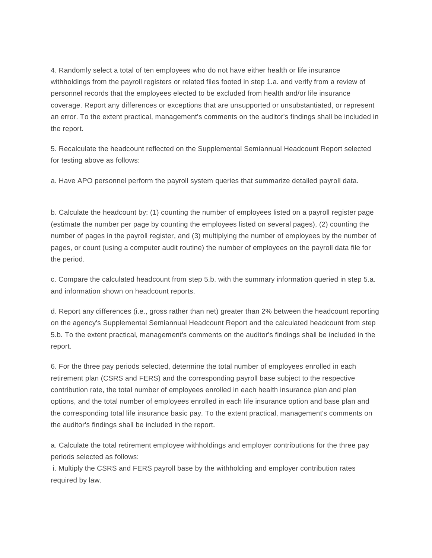4. Randomly select a total of ten employees who do not have either health or life insurance withholdings from the payroll registers or related files footed in step 1.a. and verify from a review of personnel records that the employees elected to be excluded from health and/or life insurance coverage. Report any differences or exceptions that are unsupported or unsubstantiated, or represent an error. To the extent practical, management's comments on the auditor's findings shall be included in the report.

5. Recalculate the headcount reflected on the Supplemental Semiannual Headcount Report selected for testing above as follows:

a. Have APO personnel perform the payroll system queries that summarize detailed payroll data.

b. Calculate the headcount by: (1) counting the number of employees listed on a payroll register page (estimate the number per page by counting the employees listed on several pages), (2) counting the number of pages in the payroll register, and (3) multiplying the number of employees by the number of pages, or count (using a computer audit routine) the number of employees on the payroll data file for the period.

c. Compare the calculated headcount from step 5.b. with the summary information queried in step 5.a. and information shown on headcount reports.

d. Report any differences (i.e., gross rather than net) greater than 2% between the headcount reporting on the agency's Supplemental Semiannual Headcount Report and the calculated headcount from step 5.b. To the extent practical, management's comments on the auditor's findings shall be included in the report.

6. For the three pay periods selected, determine the total number of employees enrolled in each retirement plan (CSRS and FERS) and the corresponding payroll base subject to the respective contribution rate, the total number of employees enrolled in each health insurance plan and plan options, and the total number of employees enrolled in each life insurance option and base plan and the corresponding total life insurance basic pay. To the extent practical, management's comments on the auditor's findings shall be included in the report.

a. Calculate the total retirement employee withholdings and employer contributions for the three pay periods selected as follows:

i. Multiply the CSRS and FERS payroll base by the withholding and employer contribution rates required by law.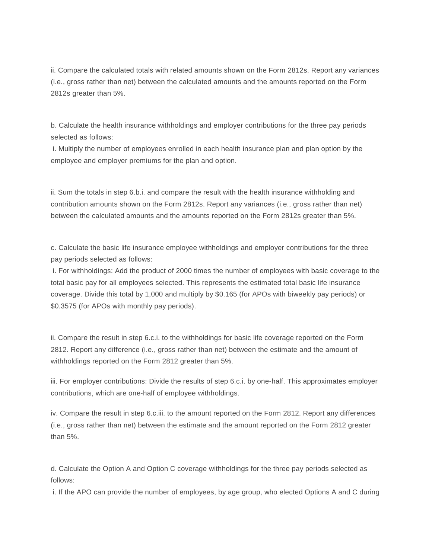ii. Compare the calculated totals with related amounts shown on the Form 2812s. Report any variances (i.e., gross rather than net) between the calculated amounts and the amounts reported on the Form 2812s greater than 5%.

b. Calculate the health insurance withholdings and employer contributions for the three pay periods selected as follows:

i. Multiply the number of employees enrolled in each health insurance plan and plan option by the employee and employer premiums for the plan and option.

ii. Sum the totals in step 6.b.i. and compare the result with the health insurance withholding and contribution amounts shown on the Form 2812s. Report any variances (i.e., gross rather than net) between the calculated amounts and the amounts reported on the Form 2812s greater than 5%.

c. Calculate the basic life insurance employee withholdings and employer contributions for the three pay periods selected as follows:

i. For withholdings: Add the product of 2000 times the number of employees with basic coverage to the total basic pay for all employees selected. This represents the estimated total basic life insurance coverage. Divide this total by 1,000 and multiply by \$0.165 (for APOs with biweekly pay periods) or \$0.3575 (for APOs with monthly pay periods).

ii. Compare the result in step 6.c.i. to the withholdings for basic life coverage reported on the Form 2812. Report any difference (i.e., gross rather than net) between the estimate and the amount of withholdings reported on the Form 2812 greater than 5%.

iii. For employer contributions: Divide the results of step 6.c.i. by one-half. This approximates employer contributions, which are one-half of employee withholdings.

iv. Compare the result in step 6.c.iii. to the amount reported on the Form 2812. Report any differences (i.e., gross rather than net) between the estimate and the amount reported on the Form 2812 greater than 5%.

d. Calculate the Option A and Option C coverage withholdings for the three pay periods selected as follows:

i. If the APO can provide the number of employees, by age group, who elected Options A and C during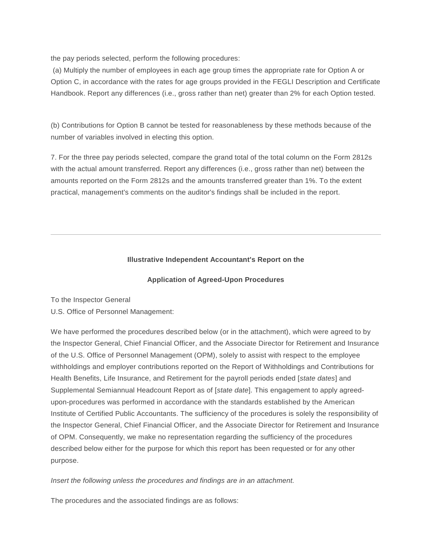the pay periods selected, perform the following procedures:

(a) Multiply the number of employees in each age group times the appropriate rate for Option A or Option C, in accordance with the rates for age groups provided in the FEGLI Description and Certificate Handbook. Report any differences (i.e., gross rather than net) greater than 2% for each Option tested.

(b) Contributions for Option B cannot be tested for reasonableness by these methods because of the number of variables involved in electing this option.

7. For the three pay periods selected, compare the grand total of the total column on the Form 2812s with the actual amount transferred. Report any differences (i.e., gross rather than net) between the amounts reported on the Form 2812s and the amounts transferred greater than 1%. To the extent practical, management's comments on the auditor's findings shall be included in the report.

# **Illustrative Independent Accountant's Report on the**

#### **Application of Agreed-Upon Procedures**

To the Inspector General

U.S. Office of Personnel Management:

We have performed the procedures described below (or in the attachment), which were agreed to by the Inspector General, Chief Financial Officer, and the Associate Director for Retirement and Insurance of the U.S. Office of Personnel Management (OPM), solely to assist with respect to the employee withholdings and employer contributions reported on the Report of Withholdings and Contributions for Health Benefits, Life Insurance, and Retirement for the payroll periods ended [*state dates*] and Supplemental Semiannual Headcount Report as of [*state date*]. This engagement to apply agreedupon-procedures was performed in accordance with the standards established by the American Institute of Certified Public Accountants. The sufficiency of the procedures is solely the responsibility of the Inspector General, Chief Financial Officer, and the Associate Director for Retirement and Insurance of OPM. Consequently, we make no representation regarding the sufficiency of the procedures described below either for the purpose for which this report has been requested or for any other purpose.

*Insert the following unless the procedures and findings are in an attachment.*

The procedures and the associated findings are as follows: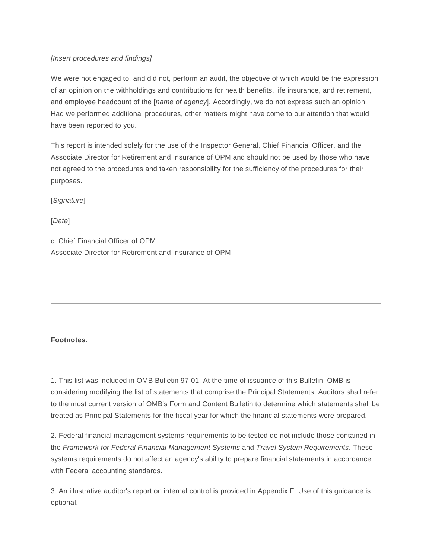# *[Insert procedures and findings]*

We were not engaged to, and did not, perform an audit, the objective of which would be the expression of an opinion on the withholdings and contributions for health benefits, life insurance, and retirement, and employee headcount of the [*name of agency*]. Accordingly, we do not express such an opinion. Had we performed additional procedures, other matters might have come to our attention that would have been reported to you.

This report is intended solely for the use of the Inspector General, Chief Financial Officer, and the Associate Director for Retirement and Insurance of OPM and should not be used by those who have not agreed to the procedures and taken responsibility for the sufficiency of the procedures for their purposes.

[*Signature*]

[*Date*]

c: Chief Financial Officer of OPM Associate Director for Retirement and Insurance of OPM

# **Footnotes**:

<span id="page-35-0"></span>1. This list was included in OMB Bulletin 97-01. At the time of issuance of this Bulletin, OMB is considering modifying the list of statements that comprise the Principal Statements. Auditors shall refer to the most current version of OMB's Form and Content Bulletin to determine which statements shall be treated as Principal Statements for the fiscal year for which the financial statements were prepared.

<span id="page-35-1"></span>2. Federal financial management systems requirements to be tested do not include those contained in the *Framework for Federal Financial Management Systems* and *Travel System Requirements*. These systems requirements do not affect an agency's ability to prepare financial statements in accordance with Federal accounting standards.

<span id="page-35-2"></span>3. An illustrative auditor's report on internal control is provided in Appendix F. Use of this guidance is optional.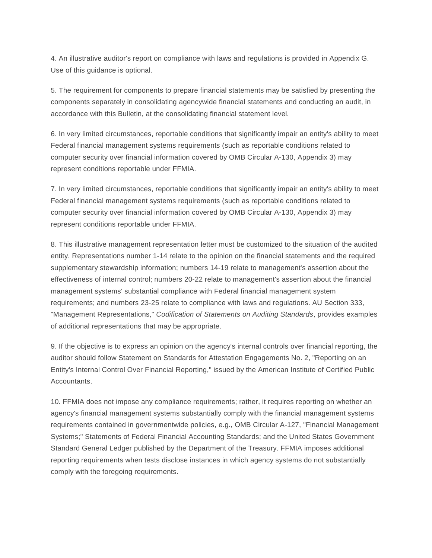<span id="page-36-0"></span>4. An illustrative auditor's report on compliance with laws and regulations is provided in Appendix G. Use of this guidance is optional.

5. The requirement for components to prepare financial statements may be satisfied by presenting the components separately in consolidating agencywide financial statements and conducting an audit, in accordance with this Bulletin, at the consolidating financial statement level.

<span id="page-36-1"></span>6. In very limited circumstances, reportable conditions that significantly impair an entity's ability to meet Federal financial management systems requirements (such as reportable conditions related to computer security over financial information covered by OMB Circular A-130, Appendix 3) may represent conditions reportable under FFMIA.

<span id="page-36-2"></span>7. In very limited circumstances, reportable conditions that significantly impair an entity's ability to meet Federal financial management systems requirements (such as reportable conditions related to computer security over financial information covered by OMB Circular A-130, Appendix 3) may represent conditions reportable under FFMIA.

<span id="page-36-3"></span>8. This illustrative management representation letter must be customized to the situation of the audited entity. Representations number 1-14 relate to the opinion on the financial statements and the required supplementary stewardship information; numbers 14-19 relate to management's assertion about the effectiveness of internal control; numbers 20-22 relate to management's assertion about the financial management systems' substantial compliance with Federal financial management system requirements; and numbers 23-25 relate to compliance with laws and regulations. AU Section 333, "Management Representations," *Codification of Statements on Auditing Standards*, provides examples of additional representations that may be appropriate.

<span id="page-36-4"></span>9. If the objective is to express an opinion on the agency's internal controls over financial reporting, the auditor should follow Statement on Standards for Attestation Engagements No. 2, "Reporting on an Entity's Internal Control Over Financial Reporting," issued by the American Institute of Certified Public Accountants.

<span id="page-36-5"></span>10. FFMIA does not impose any compliance requirements; rather, it requires reporting on whether an agency's financial management systems substantially comply with the financial management systems requirements contained in governmentwide policies, e.g., OMB Circular A-127, "Financial Management Systems;" Statements of Federal Financial Accounting Standards; and the United States Government Standard General Ledger published by the Department of the Treasury. FFMIA imposes additional reporting requirements when tests disclose instances in which agency systems do not substantially comply with the foregoing requirements.